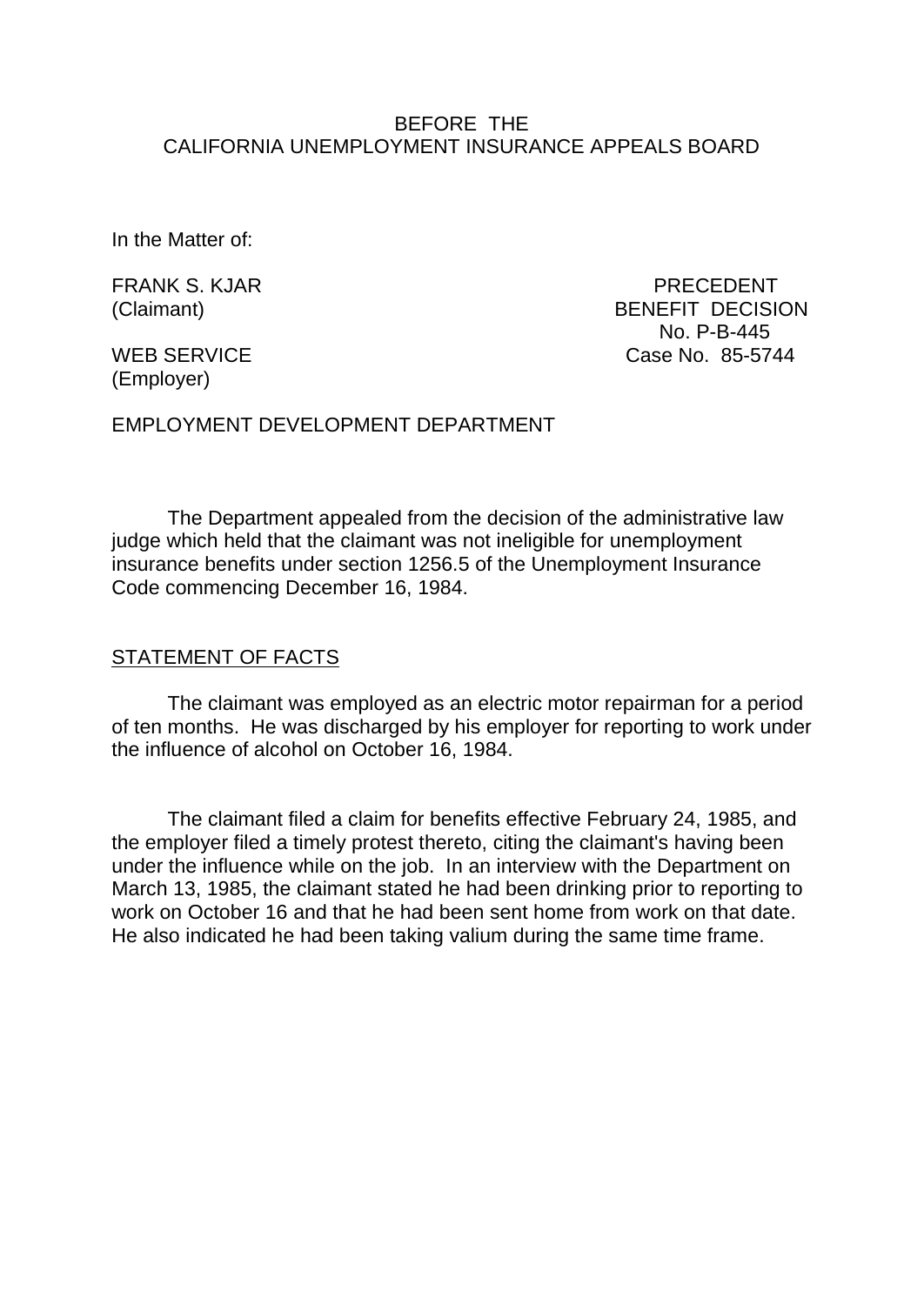#### BEFORE THE CALIFORNIA UNEMPLOYMENT INSURANCE APPEALS BOARD

In the Matter of:

FRANK S. KJAR PRECEDENT (Claimant) BENEFIT DECISION No. P-B-445 WEB SERVICE Case No. 85-5744

(Employer)

EMPLOYMENT DEVELOPMENT DEPARTMENT

The Department appealed from the decision of the administrative law judge which held that the claimant was not ineligible for unemployment insurance benefits under section 1256.5 of the Unemployment Insurance Code commencing December 16, 1984.

#### STATEMENT OF FACTS

The claimant was employed as an electric motor repairman for a period of ten months. He was discharged by his employer for reporting to work under the influence of alcohol on October 16, 1984.

The claimant filed a claim for benefits effective February 24, 1985, and the employer filed a timely protest thereto, citing the claimant's having been under the influence while on the job. In an interview with the Department on March 13, 1985, the claimant stated he had been drinking prior to reporting to work on October 16 and that he had been sent home from work on that date. He also indicated he had been taking valium during the same time frame.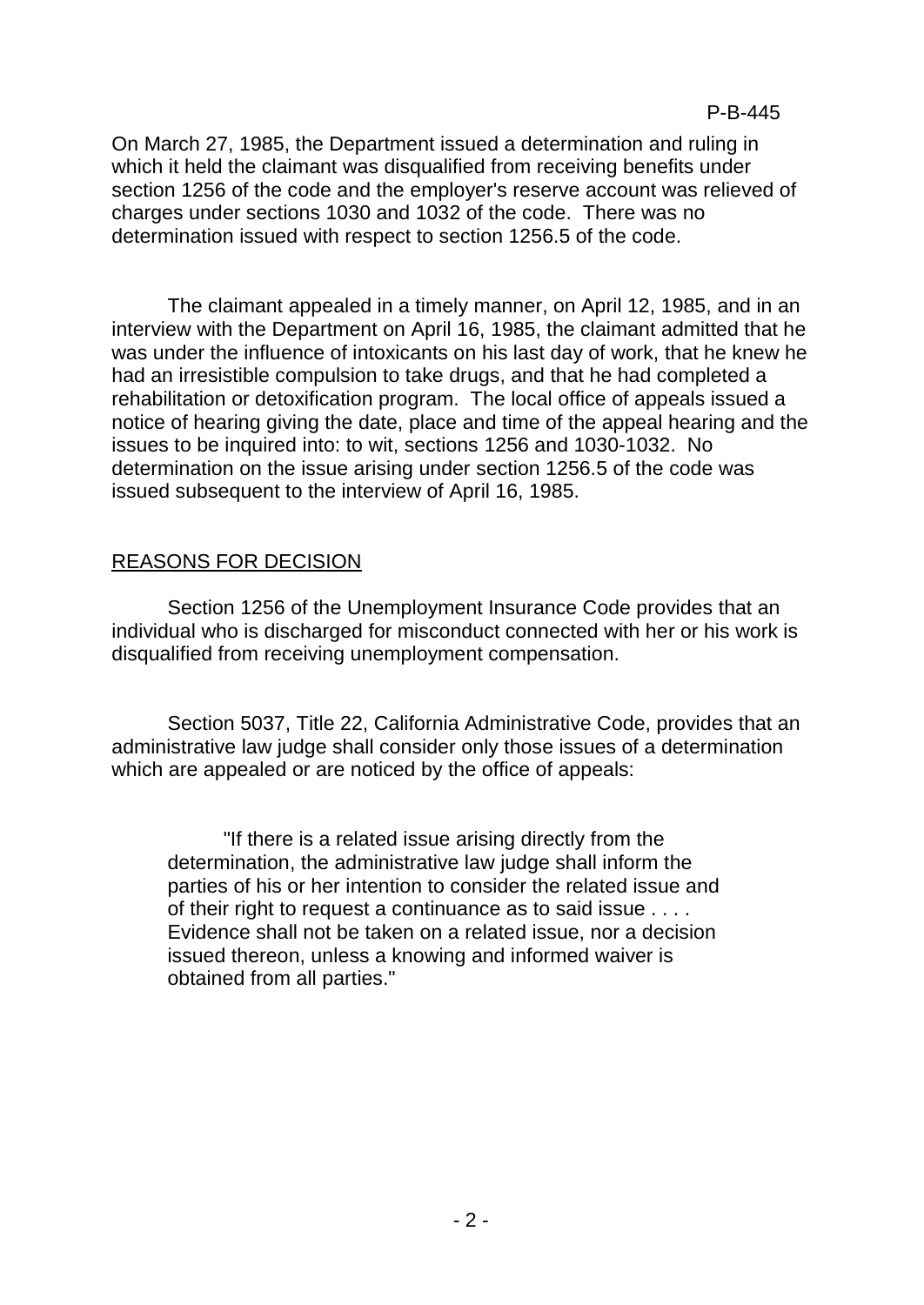On March 27, 1985, the Department issued a determination and ruling in which it held the claimant was disqualified from receiving benefits under section 1256 of the code and the employer's reserve account was relieved of charges under sections 1030 and 1032 of the code. There was no determination issued with respect to section 1256.5 of the code.

The claimant appealed in a timely manner, on April 12, 1985, and in an interview with the Department on April 16, 1985, the claimant admitted that he was under the influence of intoxicants on his last day of work, that he knew he had an irresistible compulsion to take drugs, and that he had completed a rehabilitation or detoxification program. The local office of appeals issued a notice of hearing giving the date, place and time of the appeal hearing and the issues to be inquired into: to wit, sections 1256 and 1030-1032. No determination on the issue arising under section 1256.5 of the code was issued subsequent to the interview of April 16, 1985.

# REASONS FOR DECISION

Section 1256 of the Unemployment Insurance Code provides that an individual who is discharged for misconduct connected with her or his work is disqualified from receiving unemployment compensation.

Section 5037, Title 22, California Administrative Code, provides that an administrative law judge shall consider only those issues of a determination which are appealed or are noticed by the office of appeals:

"If there is a related issue arising directly from the determination, the administrative law judge shall inform the parties of his or her intention to consider the related issue and of their right to request a continuance as to said issue . . . . Evidence shall not be taken on a related issue, nor a decision issued thereon, unless a knowing and informed waiver is obtained from all parties."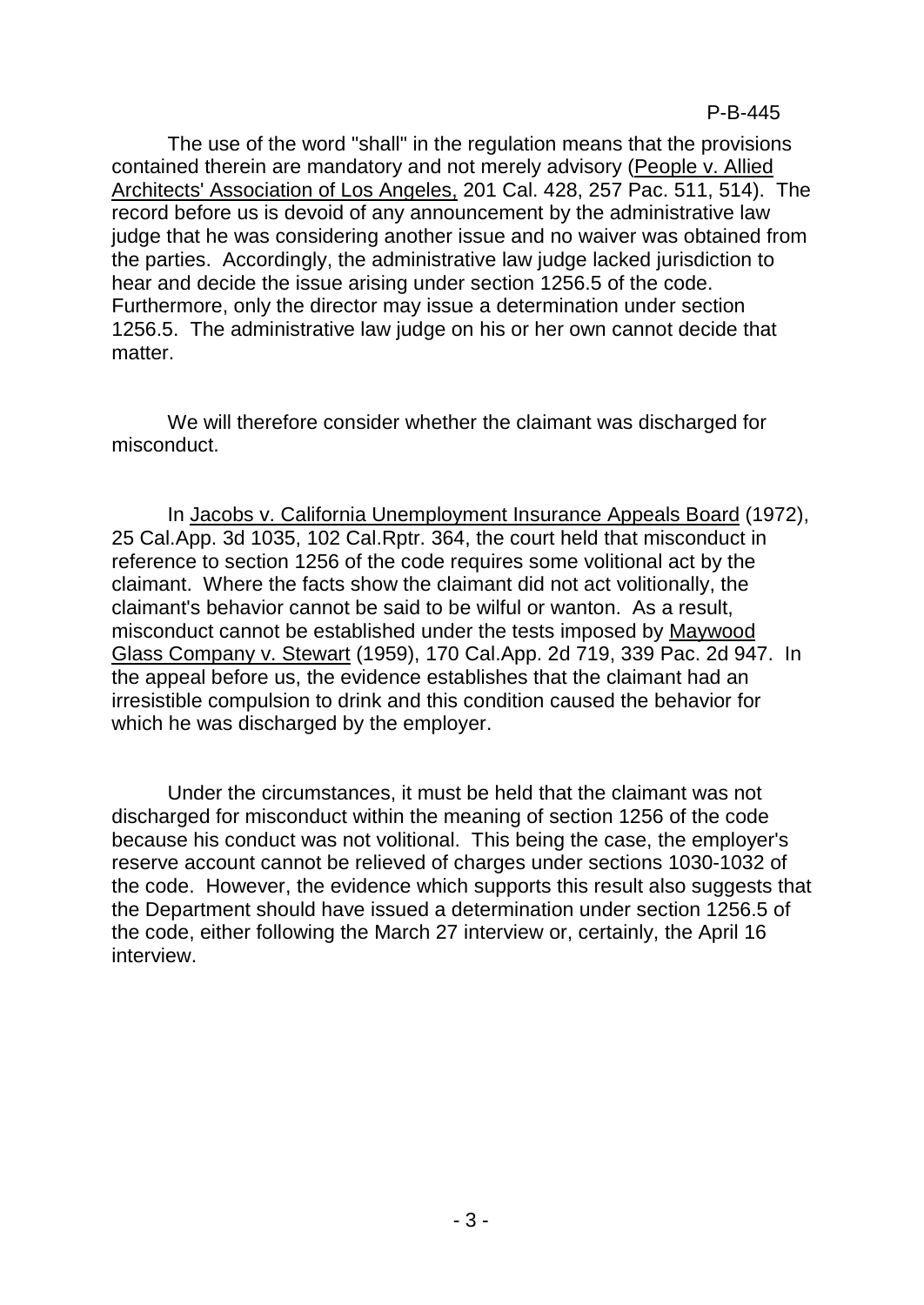The use of the word "shall" in the regulation means that the provisions contained therein are mandatory and not merely advisory (People v. Allied Architects' Association of Los Angeles, 201 Cal. 428, 257 Pac. 511, 514). The record before us is devoid of any announcement by the administrative law judge that he was considering another issue and no waiver was obtained from the parties. Accordingly, the administrative law judge lacked jurisdiction to hear and decide the issue arising under section 1256.5 of the code. Furthermore, only the director may issue a determination under section 1256.5. The administrative law judge on his or her own cannot decide that matter.

We will therefore consider whether the claimant was discharged for misconduct.

In Jacobs v. California Unemployment Insurance Appeals Board (1972), 25 Cal.App. 3d 1035, 102 Cal.Rptr. 364, the court held that misconduct in reference to section 1256 of the code requires some volitional act by the claimant. Where the facts show the claimant did not act volitionally, the claimant's behavior cannot be said to be wilful or wanton. As a result, misconduct cannot be established under the tests imposed by Maywood Glass Company v. Stewart (1959), 170 Cal.App. 2d 719, 339 Pac. 2d 947. In the appeal before us, the evidence establishes that the claimant had an irresistible compulsion to drink and this condition caused the behavior for which he was discharged by the employer.

Under the circumstances, it must be held that the claimant was not discharged for misconduct within the meaning of section 1256 of the code because his conduct was not volitional. This being the case, the employer's reserve account cannot be relieved of charges under sections 1030-1032 of the code. However, the evidence which supports this result also suggests that the Department should have issued a determination under section 1256.5 of the code, either following the March 27 interview or, certainly, the April 16 interview.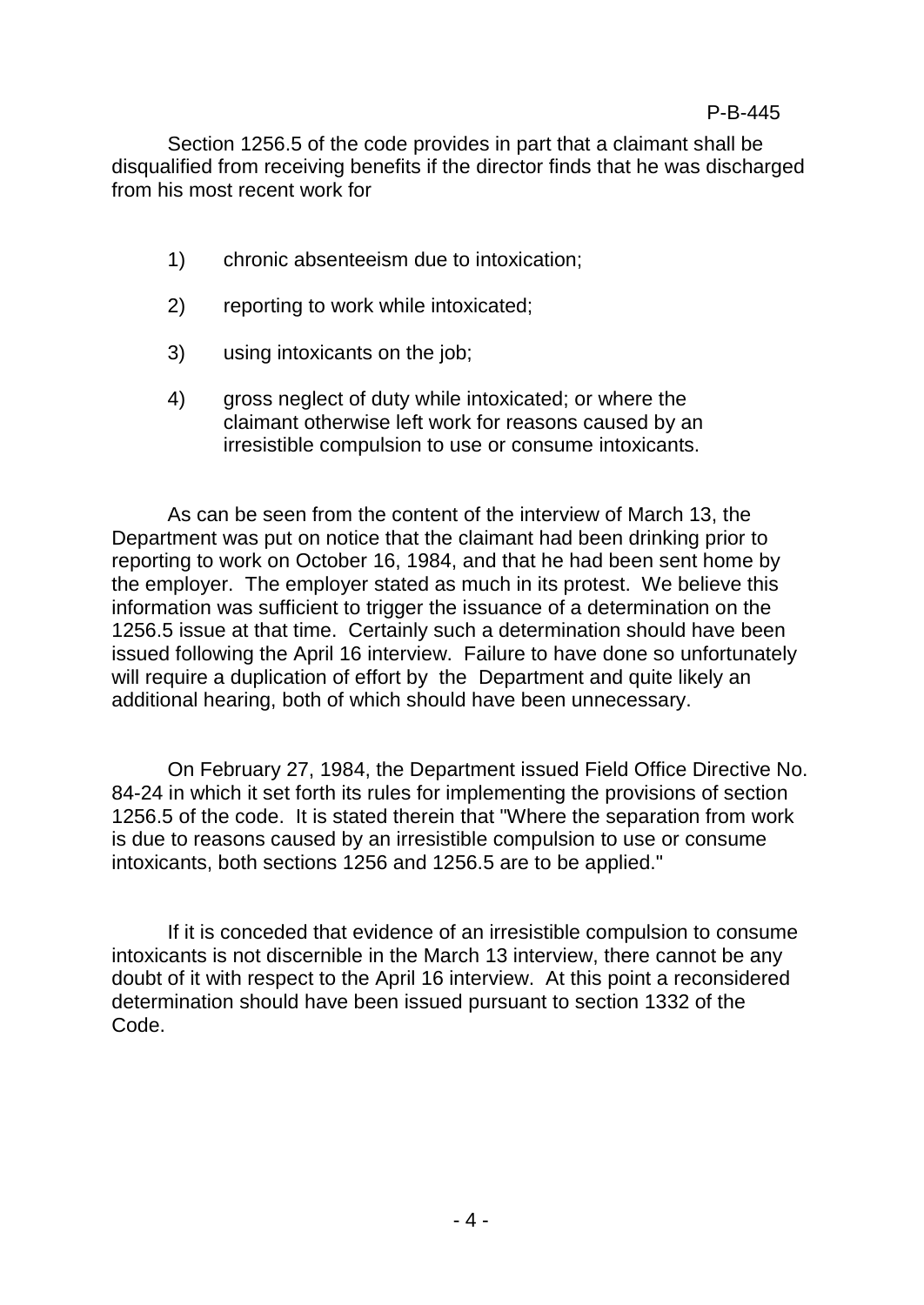### P-B-445

Section 1256.5 of the code provides in part that a claimant shall be disqualified from receiving benefits if the director finds that he was discharged from his most recent work for

- 1) chronic absenteeism due to intoxication;
- 2) reporting to work while intoxicated;
- 3) using intoxicants on the job;
- 4) gross neglect of duty while intoxicated; or where the claimant otherwise left work for reasons caused by an irresistible compulsion to use or consume intoxicants.

As can be seen from the content of the interview of March 13, the Department was put on notice that the claimant had been drinking prior to reporting to work on October 16, 1984, and that he had been sent home by the employer. The employer stated as much in its protest. We believe this information was sufficient to trigger the issuance of a determination on the 1256.5 issue at that time. Certainly such a determination should have been issued following the April 16 interview. Failure to have done so unfortunately will require a duplication of effort by the Department and quite likely an additional hearing, both of which should have been unnecessary.

On February 27, 1984, the Department issued Field Office Directive No. 84-24 in which it set forth its rules for implementing the provisions of section 1256.5 of the code. It is stated therein that "Where the separation from work is due to reasons caused by an irresistible compulsion to use or consume intoxicants, both sections 1256 and 1256.5 are to be applied."

If it is conceded that evidence of an irresistible compulsion to consume intoxicants is not discernible in the March 13 interview, there cannot be any doubt of it with respect to the April 16 interview. At this point a reconsidered determination should have been issued pursuant to section 1332 of the Code.